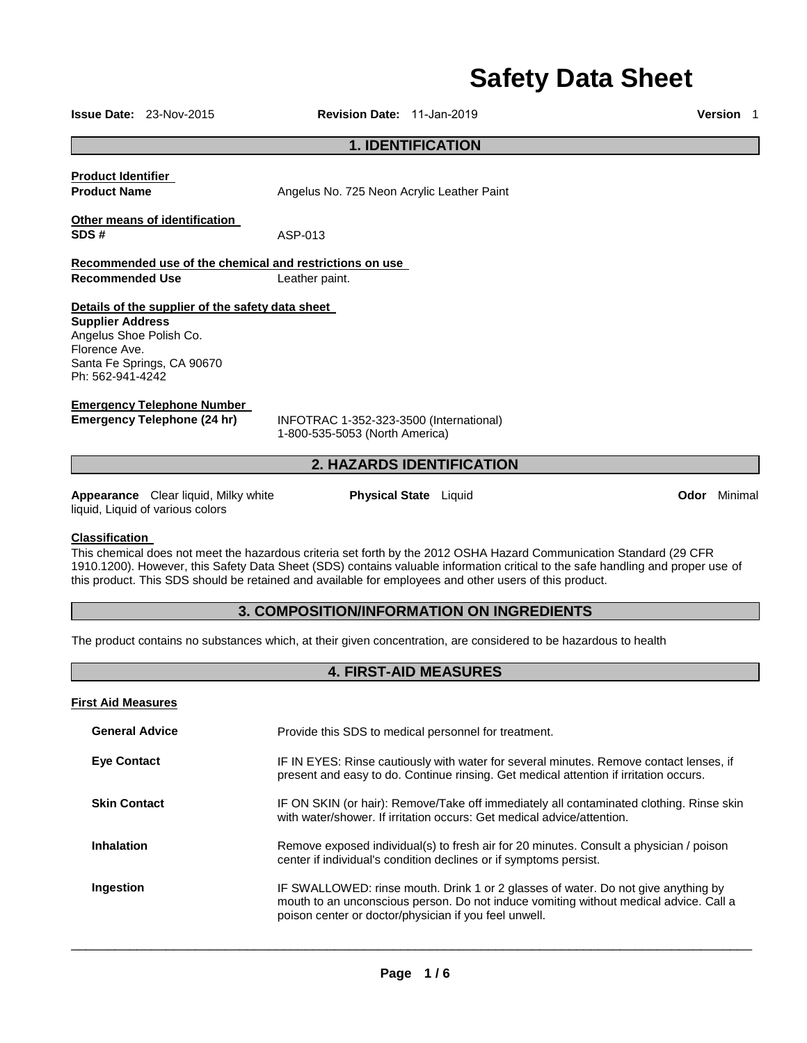# **Safety Data Sheet**

|                                                                                                                                                                                                                                                                                                                                                                                           | <b>Issue Date:</b> $23-Nov-2015$                                                                                                                                          | <b>Revision Date: 11-Jan-2019</b>                                         |  |  |  | <b>Version</b> 1 |
|-------------------------------------------------------------------------------------------------------------------------------------------------------------------------------------------------------------------------------------------------------------------------------------------------------------------------------------------------------------------------------------------|---------------------------------------------------------------------------------------------------------------------------------------------------------------------------|---------------------------------------------------------------------------|--|--|--|------------------|
| <b>1. IDENTIFICATION</b>                                                                                                                                                                                                                                                                                                                                                                  |                                                                                                                                                                           |                                                                           |  |  |  |                  |
| <b>Product Identifier</b><br><b>Product Name</b>                                                                                                                                                                                                                                                                                                                                          |                                                                                                                                                                           | Angelus No. 725 Neon Acrylic Leather Paint                                |  |  |  |                  |
| SDS#                                                                                                                                                                                                                                                                                                                                                                                      | Other means of identification                                                                                                                                             | ASP-013                                                                   |  |  |  |                  |
| <b>Recommended Use</b>                                                                                                                                                                                                                                                                                                                                                                    |                                                                                                                                                                           | Recommended use of the chemical and restrictions on use<br>Leather paint. |  |  |  |                  |
|                                                                                                                                                                                                                                                                                                                                                                                           | Details of the supplier of the safety data sheet<br><b>Supplier Address</b><br>Angelus Shoe Polish Co.<br>Florence Ave.<br>Santa Fe Springs, CA 90670<br>Ph: 562-941-4242 |                                                                           |  |  |  |                  |
| <b>Emergency Telephone Number</b><br><b>Emergency Telephone (24 hr)</b><br>INFOTRAC 1-352-323-3500 (International)<br>1-800-535-5053 (North America)                                                                                                                                                                                                                                      |                                                                                                                                                                           |                                                                           |  |  |  |                  |
|                                                                                                                                                                                                                                                                                                                                                                                           |                                                                                                                                                                           | <b>2. HAZARDS IDENTIFICATION</b>                                          |  |  |  |                  |
|                                                                                                                                                                                                                                                                                                                                                                                           | Appearance Clear liquid, Milky white<br>liquid, Liquid of various colors                                                                                                  | <b>Physical State</b> Liquid                                              |  |  |  | Odor Minimal     |
| <b>Classification</b><br>This chemical does not meet the hazardous criteria set forth by the 2012 OSHA Hazard Communication Standard (29 CFR<br>1910.1200). However, this Safety Data Sheet (SDS) contains valuable information critical to the safe handling and proper use of<br>this product. This SDS should be retained and available for employees and other users of this product. |                                                                                                                                                                           |                                                                           |  |  |  |                  |
| 3. COMPOSITION/INFORMATION ON INGREDIENTS                                                                                                                                                                                                                                                                                                                                                 |                                                                                                                                                                           |                                                                           |  |  |  |                  |
| The product contains no substances which, at their given concentration, are considered to be hazardous to health                                                                                                                                                                                                                                                                          |                                                                                                                                                                           |                                                                           |  |  |  |                  |
| <b>4. FIRST-AID MEASURES</b>                                                                                                                                                                                                                                                                                                                                                              |                                                                                                                                                                           |                                                                           |  |  |  |                  |
| <b>First Aid Measures</b>                                                                                                                                                                                                                                                                                                                                                                 |                                                                                                                                                                           |                                                                           |  |  |  |                  |

| <b>General Advice</b> | Provide this SDS to medical personnel for treatment.                                                                                                                                                                                |
|-----------------------|-------------------------------------------------------------------------------------------------------------------------------------------------------------------------------------------------------------------------------------|
| <b>Eye Contact</b>    | IF IN EYES: Rinse cautiously with water for several minutes. Remove contact lenses, if<br>present and easy to do. Continue rinsing. Get medical attention if irritation occurs.                                                     |
| <b>Skin Contact</b>   | IF ON SKIN (or hair): Remove/Take off immediately all contaminated clothing. Rinse skin<br>with water/shower. If irritation occurs: Get medical advice/attention.                                                                   |
| Inhalation            | Remove exposed individual(s) to fresh air for 20 minutes. Consult a physician / poison<br>center if individual's condition declines or if symptoms persist.                                                                         |
| Ingestion             | IF SWALLOWED: rinse mouth. Drink 1 or 2 glasses of water. Do not give anything by<br>mouth to an unconscious person. Do not induce vomiting without medical advice. Call a<br>poison center or doctor/physician if you feel unwell. |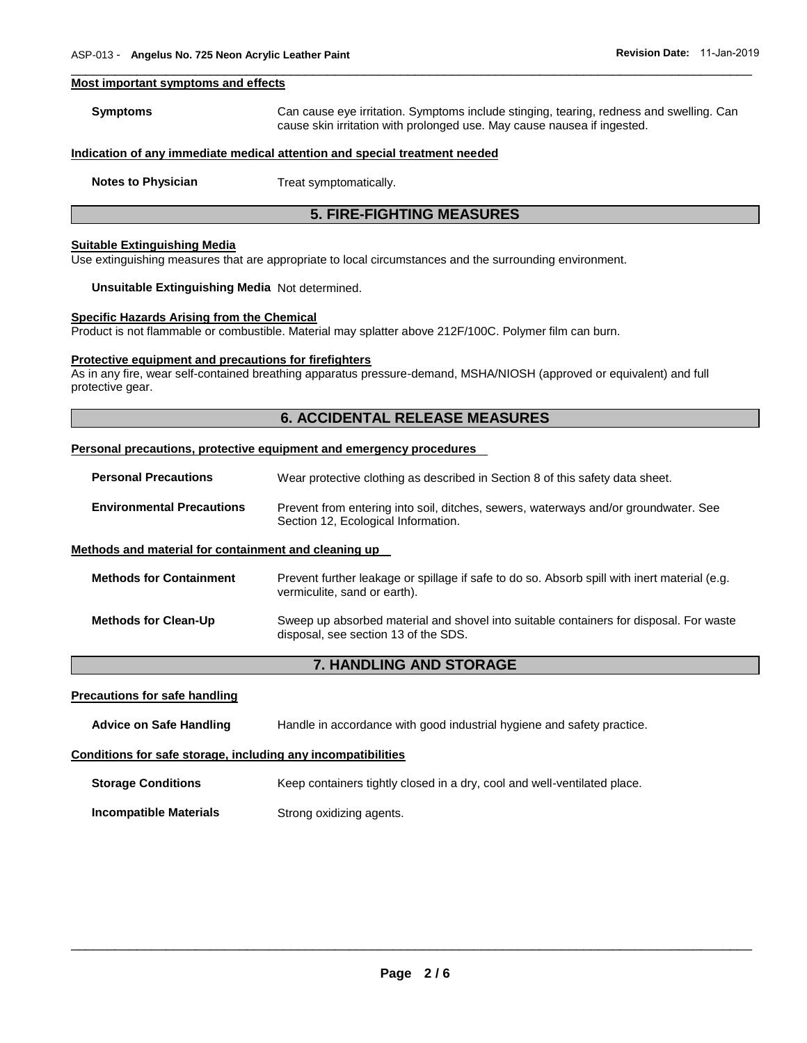#### **Most important symptoms and effects**

| Symptoms | Can cause eye irritation. Symptoms include stinging, tearing, redness and swelling. Can |
|----------|-----------------------------------------------------------------------------------------|
|          | cause skin irritation with prolonged use. May cause nausea if ingested.                 |

\_\_\_\_\_\_\_\_\_\_\_\_\_\_\_\_\_\_\_\_\_\_\_\_\_\_\_\_\_\_\_\_\_\_\_\_\_\_\_\_\_\_\_\_\_\_\_\_\_\_\_\_\_\_\_\_\_\_\_\_\_\_\_\_\_\_\_\_\_\_\_\_\_\_\_\_\_\_\_\_\_\_\_\_\_\_\_\_\_\_\_\_\_

#### **Indication of any immediate medical attention and special treatment needed**

**Notes to Physician Treat symptomatically.** 

# **5. FIRE-FIGHTING MEASURES**

#### **Suitable Extinguishing Media**

Use extinguishing measures that are appropriate to local circumstances and the surrounding environment.

#### **Unsuitable Extinguishing Media** Not determined.

#### **Specific Hazards Arising from the Chemical**

Product is not flammable or combustible. Material may splatter above 212F/100C. Polymer film can burn.

#### **Protective equipment and precautions for firefighters**

As in any fire, wear self-contained breathing apparatus pressure-demand, MSHA/NIOSH (approved or equivalent) and full protective gear.

# **6. ACCIDENTAL RELEASE MEASURES**

#### **Personal precautions, protective equipment and emergency procedures**

**Personal Precautions** Wear protective clothing as described in Section 8 of this safety data sheet.

**Environmental Precautions** Prevent from entering into soil, ditches, sewers, waterways and/or groundwater. See Section 12, Ecological Information.

#### **Methods and material for containment and cleaning up**

| <b>Methods for Containment</b> | Prevent further leakage or spillage if safe to do so. Absorb spill with inert material (e.g.<br>vermiculite, sand or earth).   |
|--------------------------------|--------------------------------------------------------------------------------------------------------------------------------|
| <b>Methods for Clean-Up</b>    | Sweep up absorbed material and shovel into suitable containers for disposal. For waste<br>disposal, see section 13 of the SDS. |

# **7. HANDLING AND STORAGE**

#### **Precautions for safe handling**

**Advice on Safe Handling** Handle in accordance with good industrial hygiene and safety practice.

#### **Conditions for safe storage, including any incompatibilities**

**Storage Conditions Keep containers tightly closed in a dry, cool and well-ventilated place.** 

**Incompatible Materials Strong oxidizing agents.**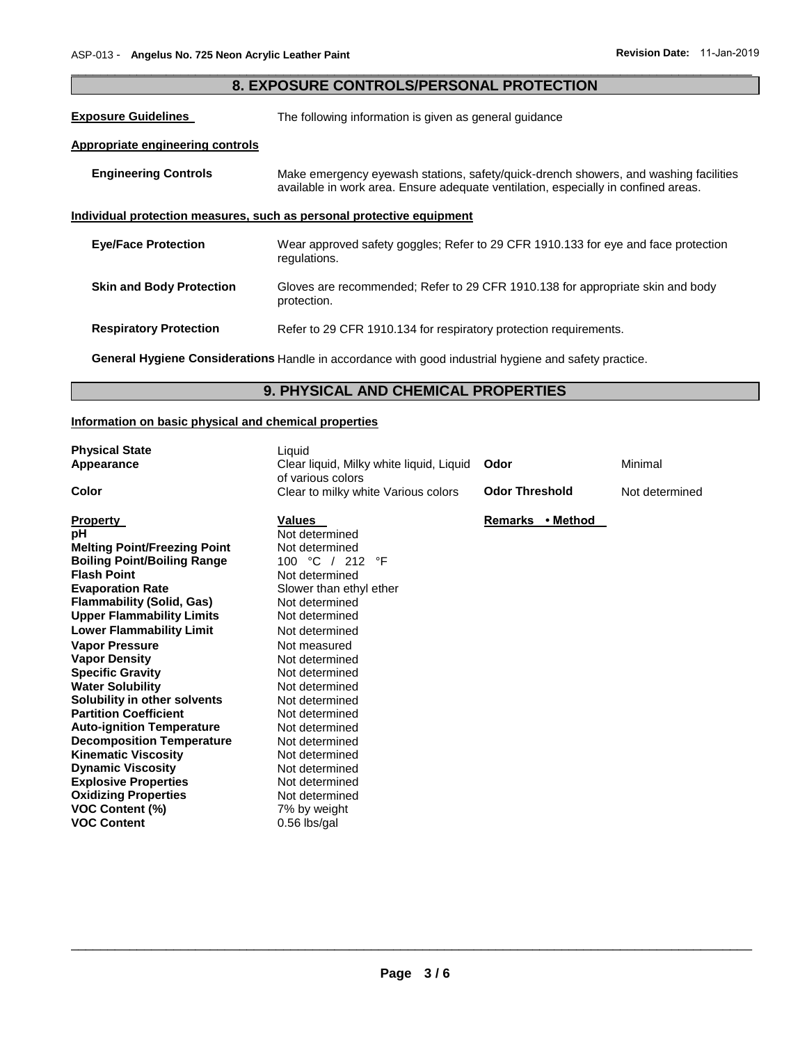| 8. EXPOSURE CONTROLS/PERSONAL PROTECTION                                                                                                                                                                  |                                                                                                       |  |  |  |
|-----------------------------------------------------------------------------------------------------------------------------------------------------------------------------------------------------------|-------------------------------------------------------------------------------------------------------|--|--|--|
| <b>Exposure Guidelines</b><br>The following information is given as general guidance                                                                                                                      |                                                                                                       |  |  |  |
| <b>Appropriate engineering controls</b>                                                                                                                                                                   |                                                                                                       |  |  |  |
| <b>Engineering Controls</b><br>Make emergency eyewash stations, safety/quick-drench showers, and washing facilities<br>available in work area. Ensure adequate ventilation, especially in confined areas. |                                                                                                       |  |  |  |
| Individual protection measures, such as personal protective equipment                                                                                                                                     |                                                                                                       |  |  |  |
| <b>Eye/Face Protection</b>                                                                                                                                                                                | Wear approved safety goggles; Refer to 29 CFR 1910.133 for eye and face protection<br>regulations.    |  |  |  |
| <b>Skin and Body Protection</b>                                                                                                                                                                           | Gloves are recommended; Refer to 29 CFR 1910.138 for appropriate skin and body<br>protection.         |  |  |  |
| <b>Respiratory Protection</b>                                                                                                                                                                             | Refer to 29 CFR 1910.134 for respiratory protection requirements.                                     |  |  |  |
|                                                                                                                                                                                                           | General Hygiene Considerations Handle in accordance with good industrial hygiene and safety practice. |  |  |  |

\_\_\_\_\_\_\_\_\_\_\_\_\_\_\_\_\_\_\_\_\_\_\_\_\_\_\_\_\_\_\_\_\_\_\_\_\_\_\_\_\_\_\_\_\_\_\_\_\_\_\_\_\_\_\_\_\_\_\_\_\_\_\_\_\_\_\_\_\_\_\_\_\_\_\_\_\_\_\_\_\_\_\_\_\_\_\_\_\_\_\_\_\_

# **9. PHYSICAL AND CHEMICAL PROPERTIES**

# **Information on basic physical and chemical properties**

| <b>Physical State</b><br>Appearance                                                                                                                                                                                                                                                                                                                                                                                                                                                                                                         | Liquid<br>Clear liquid, Milky white liquid, Liquid<br>of various colors                                                                                                                                                                                                                                                                    | Odor                  | Minimal        |
|---------------------------------------------------------------------------------------------------------------------------------------------------------------------------------------------------------------------------------------------------------------------------------------------------------------------------------------------------------------------------------------------------------------------------------------------------------------------------------------------------------------------------------------------|--------------------------------------------------------------------------------------------------------------------------------------------------------------------------------------------------------------------------------------------------------------------------------------------------------------------------------------------|-----------------------|----------------|
| Color                                                                                                                                                                                                                                                                                                                                                                                                                                                                                                                                       | Clear to milky white Various colors                                                                                                                                                                                                                                                                                                        | <b>Odor Threshold</b> | Not determined |
| <b>Property</b><br>pH<br><b>Melting Point/Freezing Point</b><br><b>Boiling Point/Boiling Range</b><br><b>Flash Point</b><br><b>Evaporation Rate</b><br><b>Flammability (Solid, Gas)</b><br><b>Upper Flammability Limits</b><br><b>Lower Flammability Limit</b><br><b>Vapor Pressure</b><br><b>Vapor Density</b><br><b>Specific Gravity</b><br><b>Water Solubility</b><br>Solubility in other solvents<br><b>Partition Coefficient</b><br><b>Auto-ignition Temperature</b><br><b>Decomposition Temperature</b><br><b>Kinematic Viscosity</b> | <b>Values</b><br>Not determined<br>Not determined<br>100 °C / 212<br>°F<br>Not determined<br>Slower than ethyl ether<br>Not determined<br>Not determined<br>Not determined<br>Not measured<br>Not determined<br>Not determined<br>Not determined<br>Not determined<br>Not determined<br>Not determined<br>Not determined<br>Not determined | Remarks • Method      |                |
| <b>Dynamic Viscosity</b><br><b>Explosive Properties</b><br><b>Oxidizing Properties</b><br><b>VOC Content (%)</b><br><b>VOC Content</b>                                                                                                                                                                                                                                                                                                                                                                                                      | Not determined<br>Not determined<br>Not determined<br>7% by weight<br>0.56 lbs/gal                                                                                                                                                                                                                                                         |                       |                |

# **Page 3 / 6**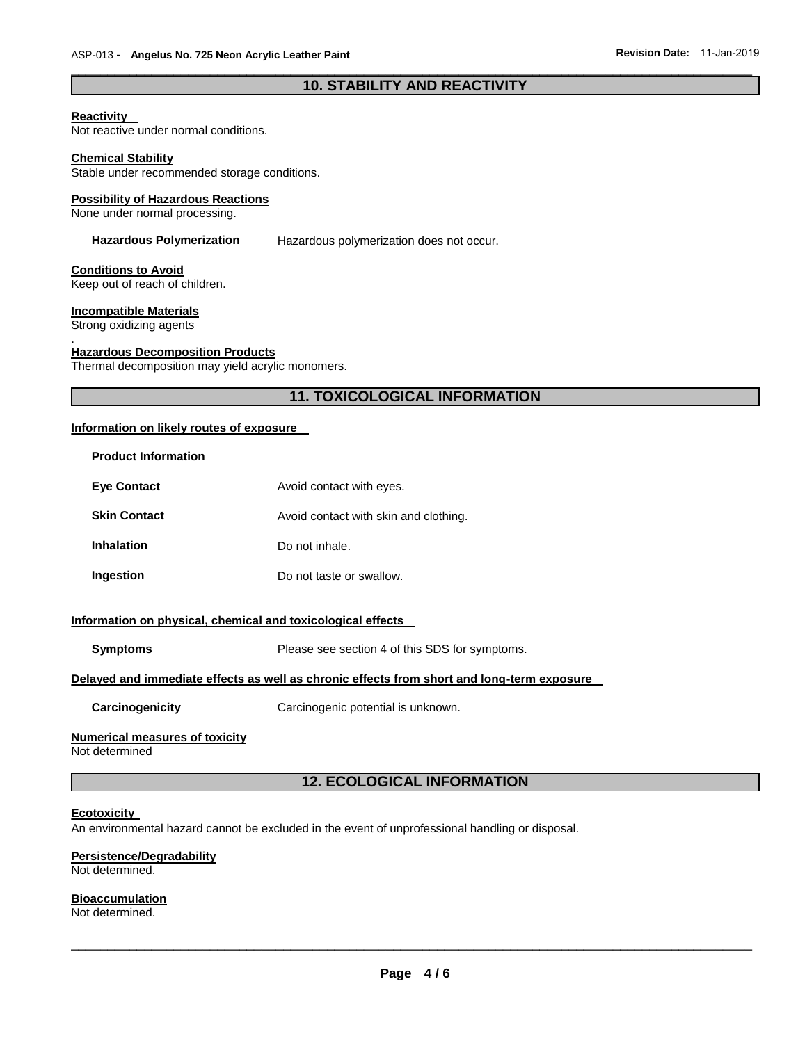# \_\_\_\_\_\_\_\_\_\_\_\_\_\_\_\_\_\_\_\_\_\_\_\_\_\_\_\_\_\_\_\_\_\_\_\_\_\_\_\_\_\_\_\_\_\_\_\_\_\_\_\_\_\_\_\_\_\_\_\_\_\_\_\_\_\_\_\_\_\_\_\_\_\_\_\_\_\_\_\_\_\_\_\_\_\_\_\_\_\_\_\_\_ **10. STABILITY AND REACTIVITY**

#### **Reactivity**

Not reactive under normal conditions.

#### **Chemical Stability**

Stable under recommended storage conditions.

#### **Possibility of Hazardous Reactions**

None under normal processing.

**Hazardous Polymerization** Hazardous polymerization does not occur.

#### **Conditions to Avoid**

Keep out of reach of children.

### **Incompatible Materials**

Strong oxidizing agents

#### . **Hazardous Decomposition Products**

Thermal decomposition may yield acrylic monomers.

# **11. TOXICOLOGICAL INFORMATION**

# **Information on likely routes of exposure**

| <b>Product Information</b> |                                       |
|----------------------------|---------------------------------------|
| <b>Eve Contact</b>         | Avoid contact with eyes.              |
| <b>Skin Contact</b>        | Avoid contact with skin and clothing. |
| <b>Inhalation</b>          | Do not inhale.                        |
| Ingestion                  | Do not taste or swallow.              |

### **Information on physical, chemical and toxicological effects**

| <b>Symptoms</b>                                                                            | Please see section 4 of this SDS for symptoms. |  |  |  |
|--------------------------------------------------------------------------------------------|------------------------------------------------|--|--|--|
| Delayed and immediate effects as well as chronic effects from short and long-term exposure |                                                |  |  |  |
| Carcinogenicity                                                                            | Carcinogenic potential is unknown.             |  |  |  |
| Numerical measures of toxicity<br>Not determined                                           |                                                |  |  |  |

# **12. ECOLOGICAL INFORMATION**

#### **Ecotoxicity**

An environmental hazard cannot be excluded in the event of unprofessional handling or disposal.

#### **Persistence/Degradability**

Not determined.

### **Bioaccumulation**

Not determined.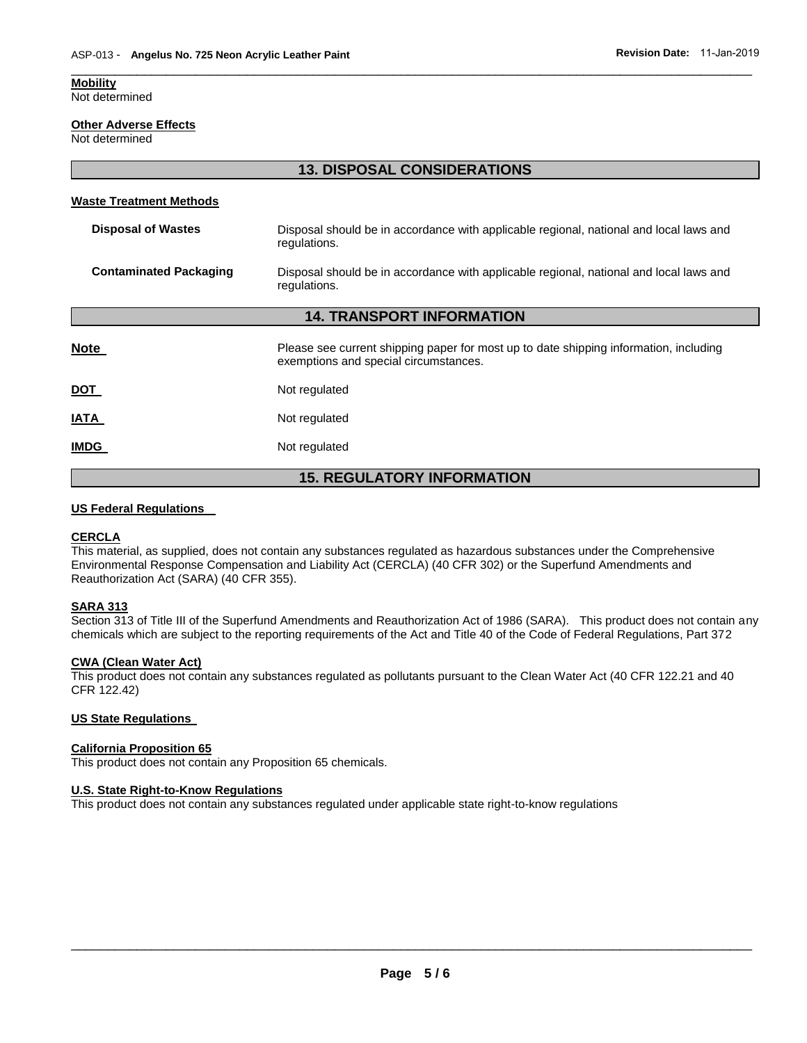#### **Mobility**

Not determined

#### **Other Adverse Effects**

Not determined

## **13. DISPOSAL CONSIDERATIONS**

\_\_\_\_\_\_\_\_\_\_\_\_\_\_\_\_\_\_\_\_\_\_\_\_\_\_\_\_\_\_\_\_\_\_\_\_\_\_\_\_\_\_\_\_\_\_\_\_\_\_\_\_\_\_\_\_\_\_\_\_\_\_\_\_\_\_\_\_\_\_\_\_\_\_\_\_\_\_\_\_\_\_\_\_\_\_\_\_\_\_\_\_\_

#### **Waste Treatment Methods**

| <b>Disposal of Wastes</b>        | Disposal should be in accordance with applicable regional, national and local laws and<br>regulations. |  |  |
|----------------------------------|--------------------------------------------------------------------------------------------------------|--|--|
| <b>Contaminated Packaging</b>    | Disposal should be in accordance with applicable regional, national and local laws and<br>regulations. |  |  |
| <b>14. TRANSPORT INFORMATION</b> |                                                                                                        |  |  |
|                                  |                                                                                                        |  |  |

| <b>15. REGULATORY INFORMATION</b> |                                                                                                                                |  |  |
|-----------------------------------|--------------------------------------------------------------------------------------------------------------------------------|--|--|
| <b>IMDG</b>                       | Not regulated                                                                                                                  |  |  |
| <b>IATA</b>                       | Not regulated                                                                                                                  |  |  |
| <u>DOT</u>                        | Not regulated                                                                                                                  |  |  |
| <b>Note</b>                       | Please see current shipping paper for most up to date shipping information, including<br>exemptions and special circumstances. |  |  |

#### **US Federal Regulations**

#### **CERCLA**

This material, as supplied, does not contain any substances regulated as hazardous substances under the Comprehensive Environmental Response Compensation and Liability Act (CERCLA) (40 CFR 302) or the Superfund Amendments and Reauthorization Act (SARA) (40 CFR 355).

#### **SARA 313**

Section 313 of Title III of the Superfund Amendments and Reauthorization Act of 1986 (SARA). This product does not contain any chemicals which are subject to the reporting requirements of the Act and Title 40 of the Code of Federal Regulations, Part 372

#### **CWA (Clean Water Act)**

This product does not contain any substances regulated as pollutants pursuant to the Clean Water Act (40 CFR 122.21 and 40 CFR 122.42)

#### **US State Regulations**

#### **California Proposition 65**

This product does not contain any Proposition 65 chemicals.

# **U.S. State Right-to-Know Regulations**

This product does not contain any substances regulated under applicable state right-to-know regulations